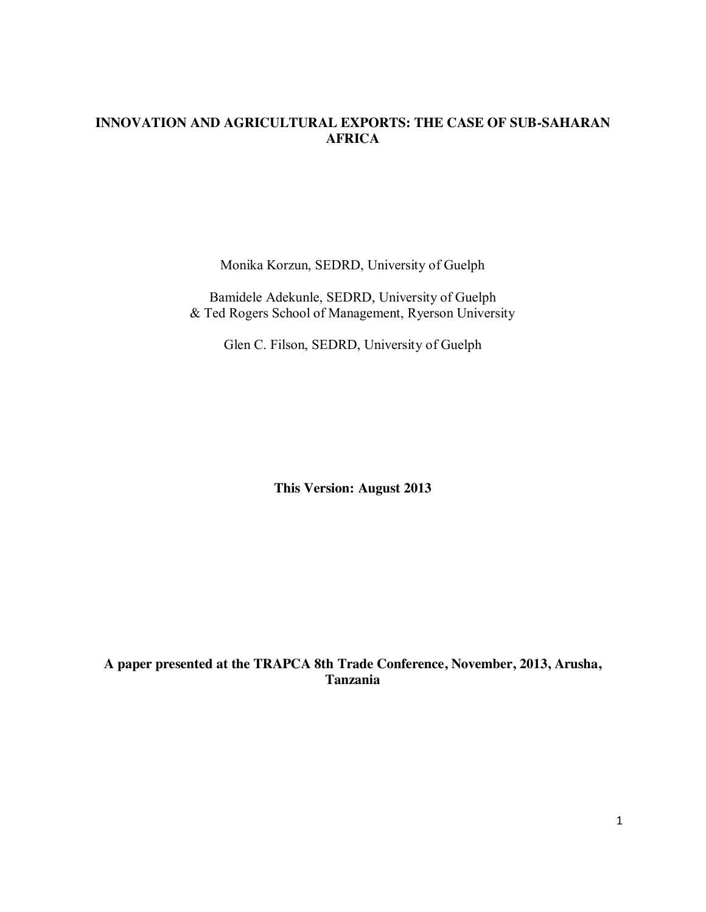# **INNOVATION AND AGRICULTURAL EXPORTS: THE CASE OF SUB-SAHARAN AFRICA**

Monika Korzun, SEDRD, University of Guelph

Bamidele Adekunle, SEDRD, University of Guelph & Ted Rogers School of Management, Ryerson University

Glen C. Filson, SEDRD, University of Guelph

**This Version: August 2013**

**A paper presented at the TRAPCA 8th Trade Conference, November, 2013, Arusha, Tanzania**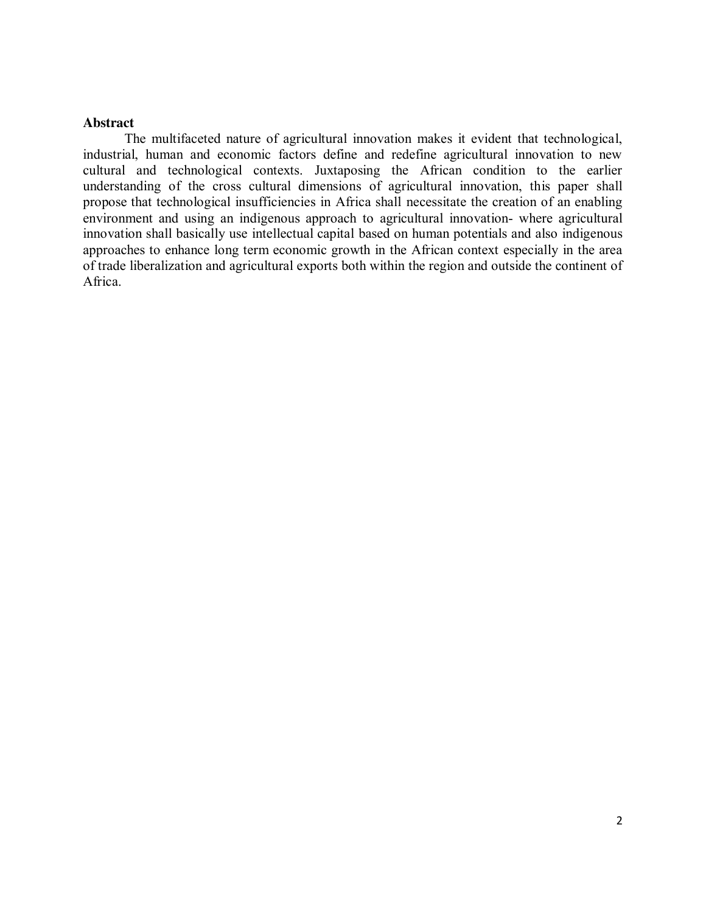## **Abstract**

The multifaceted nature of agricultural innovation makes it evident that technological, industrial, human and economic factors define and redefine agricultural innovation to new cultural and technological contexts. Juxtaposing the African condition to the earlier understanding of the cross cultural dimensions of agricultural innovation, this paper shall propose that technological insufficiencies in Africa shall necessitate the creation of an enabling environment and using an indigenous approach to agricultural innovation- where agricultural innovation shall basically use intellectual capital based on human potentials and also indigenous approaches to enhance long term economic growth in the African context especially in the area of trade liberalization and agricultural exports both within the region and outside the continent of Africa.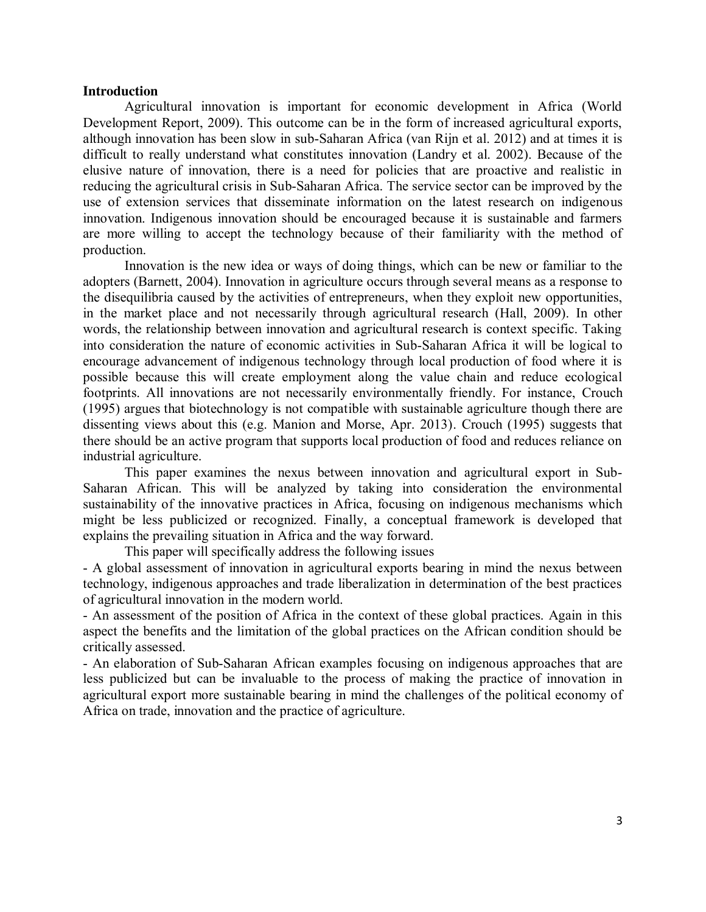### **Introduction**

Agricultural innovation is important for economic development in Africa (World Development Report, 2009). This outcome can be in the form of increased agricultural exports, although innovation has been slow in sub-Saharan Africa (van Rijn et al. 2012) and at times it is difficult to really understand what constitutes innovation (Landry et al. 2002). Because of the elusive nature of innovation, there is a need for policies that are proactive and realistic in reducing the agricultural crisis in Sub-Saharan Africa. The service sector can be improved by the use of extension services that disseminate information on the latest research on indigenous innovation. Indigenous innovation should be encouraged because it is sustainable and farmers are more willing to accept the technology because of their familiarity with the method of production.

Innovation is the new idea or ways of doing things, which can be new or familiar to the adopters (Barnett, 2004). Innovation in agriculture occurs through several means as a response to the disequilibria caused by the activities of entrepreneurs, when they exploit new opportunities, in the market place and not necessarily through agricultural research (Hall, 2009). In other words, the relationship between innovation and agricultural research is context specific. Taking into consideration the nature of economic activities in Sub-Saharan Africa it will be logical to encourage advancement of indigenous technology through local production of food where it is possible because this will create employment along the value chain and reduce ecological footprints. All innovations are not necessarily environmentally friendly. For instance, Crouch (1995) argues that biotechnology is not compatible with sustainable agriculture though there are dissenting views about this (e.g. Manion and Morse, Apr. 2013). Crouch (1995) suggests that there should be an active program that supports local production of food and reduces reliance on industrial agriculture.

This paper examines the nexus between innovation and agricultural export in Sub-Saharan African. This will be analyzed by taking into consideration the environmental sustainability of the innovative practices in Africa, focusing on indigenous mechanisms which might be less publicized or recognized. Finally, a conceptual framework is developed that explains the prevailing situation in Africa and the way forward.

This paper will specifically address the following issues

- A global assessment of innovation in agricultural exports bearing in mind the nexus between technology, indigenous approaches and trade liberalization in determination of the best practices of agricultural innovation in the modern world.

- An assessment of the position of Africa in the context of these global practices. Again in this aspect the benefits and the limitation of the global practices on the African condition should be critically assessed.

- An elaboration of Sub-Saharan African examples focusing on indigenous approaches that are less publicized but can be invaluable to the process of making the practice of innovation in agricultural export more sustainable bearing in mind the challenges of the political economy of Africa on trade, innovation and the practice of agriculture.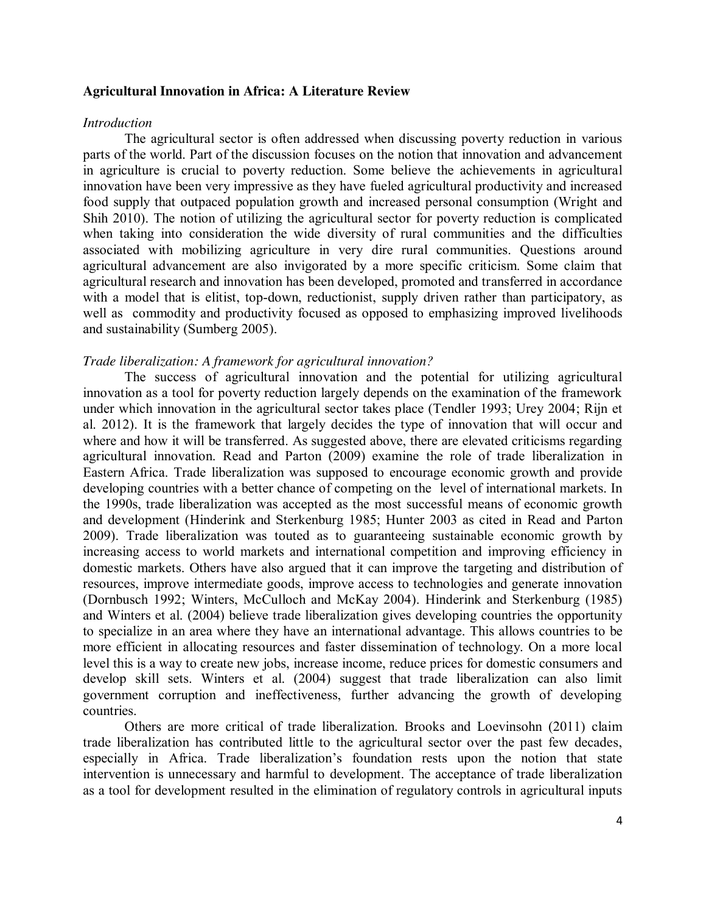## **Agricultural Innovation in Africa: A Literature Review**

#### *Introduction*

The agricultural sector is often addressed when discussing poverty reduction in various parts of the world. Part of the discussion focuses on the notion that innovation and advancement in agriculture is crucial to poverty reduction. Some believe the achievements in agricultural innovation have been very impressive as they have fueled agricultural productivity and increased food supply that outpaced population growth and increased personal consumption (Wright and Shih 2010). The notion of utilizing the agricultural sector for poverty reduction is complicated when taking into consideration the wide diversity of rural communities and the difficulties associated with mobilizing agriculture in very dire rural communities. Questions around agricultural advancement are also invigorated by a more specific criticism. Some claim that agricultural research and innovation has been developed, promoted and transferred in accordance with a model that is elitist, top-down, reductionist, supply driven rather than participatory, as well as commodity and productivity focused as opposed to emphasizing improved livelihoods and sustainability (Sumberg 2005).

### *Trade liberalization: A framework for agricultural innovation?*

The success of agricultural innovation and the potential for utilizing agricultural innovation as a tool for poverty reduction largely depends on the examination of the framework under which innovation in the agricultural sector takes place (Tendler 1993; Urey 2004; Rijn et al. 2012). It is the framework that largely decides the type of innovation that will occur and where and how it will be transferred. As suggested above, there are elevated criticisms regarding agricultural innovation. Read and Parton (2009) examine the role of trade liberalization in Eastern Africa. Trade liberalization was supposed to encourage economic growth and provide developing countries with a better chance of competing on the level of international markets. In the 1990s, trade liberalization was accepted as the most successful means of economic growth and development (Hinderink and Sterkenburg 1985; Hunter 2003 as cited in Read and Parton 2009). Trade liberalization was touted as to guaranteeing sustainable economic growth by increasing access to world markets and international competition and improving efficiency in domestic markets. Others have also argued that it can improve the targeting and distribution of resources, improve intermediate goods, improve access to technologies and generate innovation (Dornbusch 1992; Winters, McCulloch and McKay 2004). Hinderink and Sterkenburg (1985) and Winters et al. (2004) believe trade liberalization gives developing countries the opportunity to specialize in an area where they have an international advantage. This allows countries to be more efficient in allocating resources and faster dissemination of technology. On a more local level this is a way to create new jobs, increase income, reduce prices for domestic consumers and develop skill sets. Winters et al. (2004) suggest that trade liberalization can also limit government corruption and ineffectiveness, further advancing the growth of developing countries.

Others are more critical of trade liberalization. Brooks and Loevinsohn (2011) claim trade liberalization has contributed little to the agricultural sector over the past few decades, especially in Africa. Trade liberalization's foundation rests upon the notion that state intervention is unnecessary and harmful to development. The acceptance of trade liberalization as a tool for development resulted in the elimination of regulatory controls in agricultural inputs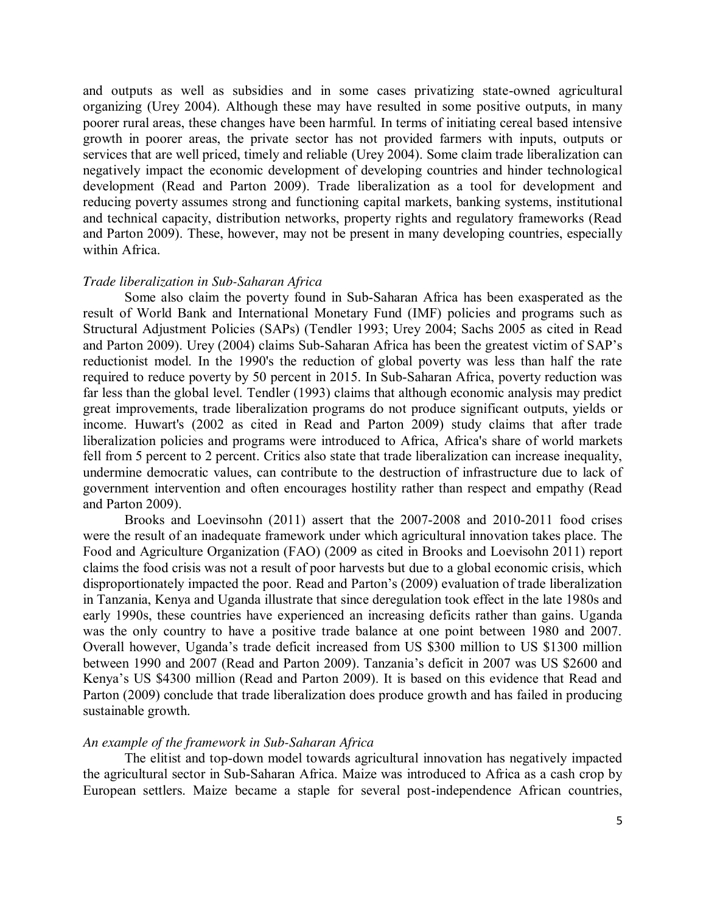and outputs as well as subsidies and in some cases privatizing state-owned agricultural organizing (Urey 2004). Although these may have resulted in some positive outputs, in many poorer rural areas, these changes have been harmful. In terms of initiating cereal based intensive growth in poorer areas, the private sector has not provided farmers with inputs, outputs or services that are well priced, timely and reliable (Urey 2004). Some claim trade liberalization can negatively impact the economic development of developing countries and hinder technological development (Read and Parton 2009). Trade liberalization as a tool for development and reducing poverty assumes strong and functioning capital markets, banking systems, institutional and technical capacity, distribution networks, property rights and regulatory frameworks (Read and Parton 2009). These, however, may not be present in many developing countries, especially within Africa.

### *Trade liberalization in Sub-Saharan Africa*

Some also claim the poverty found in Sub-Saharan Africa has been exasperated as the result of World Bank and International Monetary Fund (IMF) policies and programs such as Structural Adjustment Policies (SAPs) (Tendler 1993; Urey 2004; Sachs 2005 as cited in Read and Parton 2009). Urey (2004) claims Sub-Saharan Africa has been the greatest victim of SAP's reductionist model. In the 1990's the reduction of global poverty was less than half the rate required to reduce poverty by 50 percent in 2015. In Sub-Saharan Africa, poverty reduction was far less than the global level. Tendler (1993) claims that although economic analysis may predict great improvements, trade liberalization programs do not produce significant outputs, yields or income. Huwart's (2002 as cited in Read and Parton 2009) study claims that after trade liberalization policies and programs were introduced to Africa, Africa's share of world markets fell from 5 percent to 2 percent. Critics also state that trade liberalization can increase inequality, undermine democratic values, can contribute to the destruction of infrastructure due to lack of government intervention and often encourages hostility rather than respect and empathy (Read and Parton 2009).

Brooks and Loevinsohn (2011) assert that the 2007-2008 and 2010-2011 food crises were the result of an inadequate framework under which agricultural innovation takes place. The Food and Agriculture Organization (FAO) (2009 as cited in Brooks and Loevisohn 2011) report claims the food crisis was not a result of poor harvests but due to a global economic crisis, which disproportionately impacted the poor. Read and Parton's (2009) evaluation of trade liberalization in Tanzania, Kenya and Uganda illustrate that since deregulation took effect in the late 1980s and early 1990s, these countries have experienced an increasing deficits rather than gains. Uganda was the only country to have a positive trade balance at one point between 1980 and 2007. Overall however, Uganda's trade deficit increased from US \$300 million to US \$1300 million between 1990 and 2007 (Read and Parton 2009). Tanzania's deficit in 2007 was US \$2600 and Kenya's US \$4300 million (Read and Parton 2009). It is based on this evidence that Read and Parton (2009) conclude that trade liberalization does produce growth and has failed in producing sustainable growth.

## *An example of the framework in Sub-Saharan Africa*

The elitist and top-down model towards agricultural innovation has negatively impacted the agricultural sector in Sub-Saharan Africa. Maize was introduced to Africa as a cash crop by European settlers. Maize became a staple for several post-independence African countries,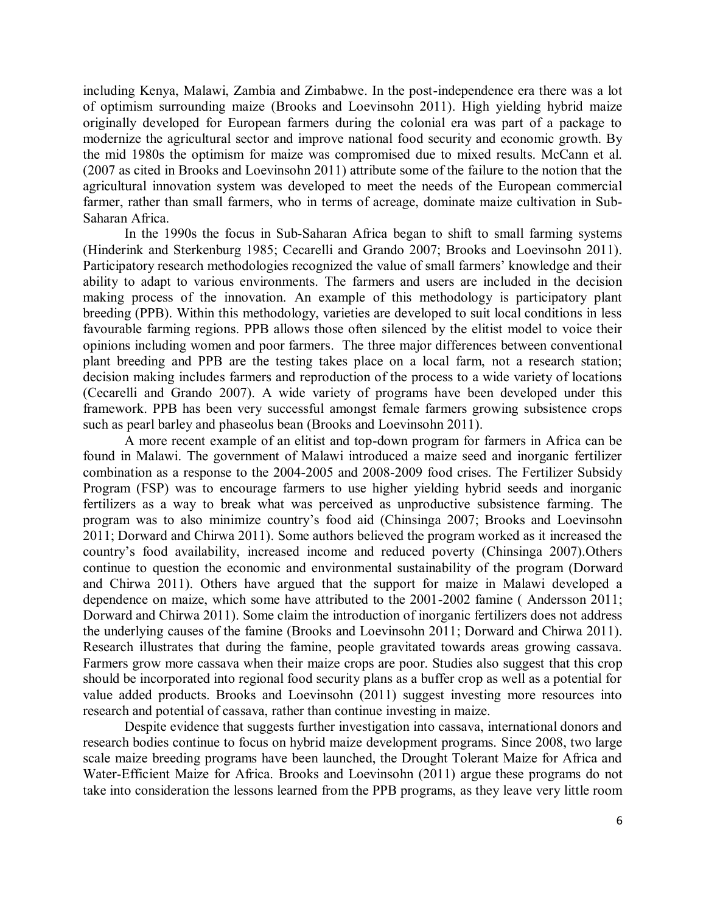including Kenya, Malawi, Zambia and Zimbabwe. In the post-independence era there was a lot of optimism surrounding maize (Brooks and Loevinsohn 2011). High yielding hybrid maize originally developed for European farmers during the colonial era was part of a package to modernize the agricultural sector and improve national food security and economic growth. By the mid 1980s the optimism for maize was compromised due to mixed results. McCann et al. (2007 as cited in Brooks and Loevinsohn 2011) attribute some of the failure to the notion that the agricultural innovation system was developed to meet the needs of the European commercial farmer, rather than small farmers, who in terms of acreage, dominate maize cultivation in Sub-Saharan Africa.

In the 1990s the focus in Sub-Saharan Africa began to shift to small farming systems (Hinderink and Sterkenburg 1985; Cecarelli and Grando 2007; Brooks and Loevinsohn 2011). Participatory research methodologies recognized the value of small farmers' knowledge and their ability to adapt to various environments. The farmers and users are included in the decision making process of the innovation. An example of this methodology is participatory plant breeding (PPB). Within this methodology, varieties are developed to suit local conditions in less favourable farming regions. PPB allows those often silenced by the elitist model to voice their opinions including women and poor farmers. The three major differences between conventional plant breeding and PPB are the testing takes place on a local farm, not a research station; decision making includes farmers and reproduction of the process to a wide variety of locations (Cecarelli and Grando 2007). A wide variety of programs have been developed under this framework. PPB has been very successful amongst female farmers growing subsistence crops such as pearl barley and phaseolus bean (Brooks and Loevinsohn 2011).

A more recent example of an elitist and top-down program for farmers in Africa can be found in Malawi. The government of Malawi introduced a maize seed and inorganic fertilizer combination as a response to the 2004-2005 and 2008-2009 food crises. The Fertilizer Subsidy Program (FSP) was to encourage farmers to use higher yielding hybrid seeds and inorganic fertilizers as a way to break what was perceived as unproductive subsistence farming. The program was to also minimize country's food aid (Chinsinga 2007; Brooks and Loevinsohn 2011; Dorward and Chirwa 2011). Some authors believed the program worked as it increased the country's food availability, increased income and reduced poverty (Chinsinga 2007).Others continue to question the economic and environmental sustainability of the program (Dorward and Chirwa 2011). Others have argued that the support for maize in Malawi developed a dependence on maize, which some have attributed to the 2001-2002 famine ( Andersson 2011; Dorward and Chirwa 2011). Some claim the introduction of inorganic fertilizers does not address the underlying causes of the famine (Brooks and Loevinsohn 2011; Dorward and Chirwa 2011). Research illustrates that during the famine, people gravitated towards areas growing cassava. Farmers grow more cassava when their maize crops are poor. Studies also suggest that this crop should be incorporated into regional food security plans as a buffer crop as well as a potential for value added products. Brooks and Loevinsohn (2011) suggest investing more resources into research and potential of cassava, rather than continue investing in maize.

Despite evidence that suggests further investigation into cassava, international donors and research bodies continue to focus on hybrid maize development programs. Since 2008, two large scale maize breeding programs have been launched, the Drought Tolerant Maize for Africa and Water-Efficient Maize for Africa. Brooks and Loevinsohn (2011) argue these programs do not take into consideration the lessons learned from the PPB programs, as they leave very little room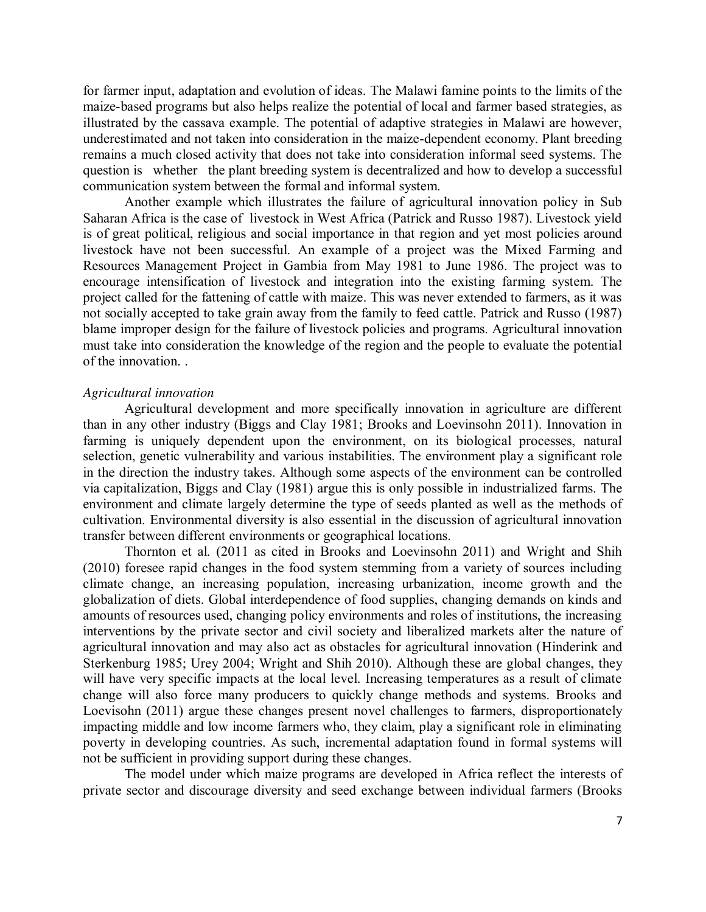for farmer input, adaptation and evolution of ideas. The Malawi famine points to the limits of the maize-based programs but also helps realize the potential of local and farmer based strategies, as illustrated by the cassava example. The potential of adaptive strategies in Malawi are however, underestimated and not taken into consideration in the maize-dependent economy. Plant breeding remains a much closed activity that does not take into consideration informal seed systems. The question is whether the plant breeding system is decentralized and how to develop a successful communication system between the formal and informal system.

Another example which illustrates the failure of agricultural innovation policy in Sub Saharan Africa is the case of livestock in West Africa (Patrick and Russo 1987). Livestock yield is of great political, religious and social importance in that region and yet most policies around livestock have not been successful. An example of a project was the Mixed Farming and Resources Management Project in Gambia from May 1981 to June 1986. The project was to encourage intensification of livestock and integration into the existing farming system. The project called for the fattening of cattle with maize. This was never extended to farmers, as it was not socially accepted to take grain away from the family to feed cattle. Patrick and Russo (1987) blame improper design for the failure of livestock policies and programs. Agricultural innovation must take into consideration the knowledge of the region and the people to evaluate the potential of the innovation. .

### *Agricultural innovation*

Agricultural development and more specifically innovation in agriculture are different than in any other industry (Biggs and Clay 1981; Brooks and Loevinsohn 2011). Innovation in farming is uniquely dependent upon the environment, on its biological processes, natural selection, genetic vulnerability and various instabilities. The environment play a significant role in the direction the industry takes. Although some aspects of the environment can be controlled via capitalization, Biggs and Clay (1981) argue this is only possible in industrialized farms. The environment and climate largely determine the type of seeds planted as well as the methods of cultivation. Environmental diversity is also essential in the discussion of agricultural innovation transfer between different environments or geographical locations.

Thornton et al. (2011 as cited in Brooks and Loevinsohn 2011) and Wright and Shih (2010) foresee rapid changes in the food system stemming from a variety of sources including climate change, an increasing population, increasing urbanization, income growth and the globalization of diets. Global interdependence of food supplies, changing demands on kinds and amounts of resources used, changing policy environments and roles of institutions, the increasing interventions by the private sector and civil society and liberalized markets alter the nature of agricultural innovation and may also act as obstacles for agricultural innovation (Hinderink and Sterkenburg 1985; Urey 2004; Wright and Shih 2010). Although these are global changes, they will have very specific impacts at the local level. Increasing temperatures as a result of climate change will also force many producers to quickly change methods and systems. Brooks and Loevisohn (2011) argue these changes present novel challenges to farmers, disproportionately impacting middle and low income farmers who, they claim, play a significant role in eliminating poverty in developing countries. As such, incremental adaptation found in formal systems will not be sufficient in providing support during these changes.

The model under which maize programs are developed in Africa reflect the interests of private sector and discourage diversity and seed exchange between individual farmers (Brooks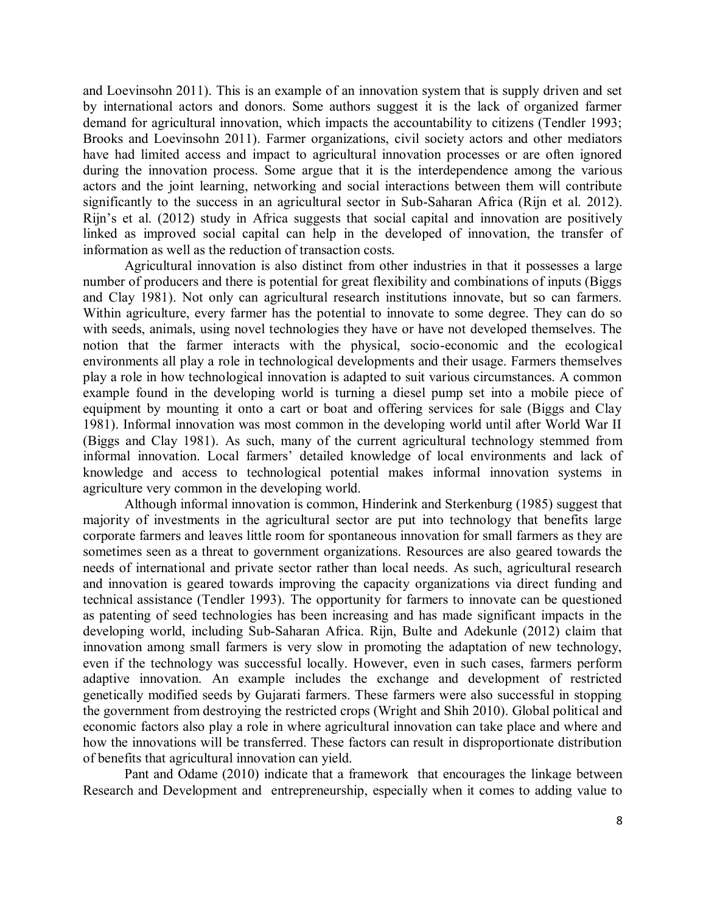and Loevinsohn 2011). This is an example of an innovation system that is supply driven and set by international actors and donors. Some authors suggest it is the lack of organized farmer demand for agricultural innovation, which impacts the accountability to citizens (Tendler 1993; Brooks and Loevinsohn 2011). Farmer organizations, civil society actors and other mediators have had limited access and impact to agricultural innovation processes or are often ignored during the innovation process. Some argue that it is the interdependence among the various actors and the joint learning, networking and social interactions between them will contribute significantly to the success in an agricultural sector in Sub-Saharan Africa (Rijn et al. 2012). Rijn's et al. (2012) study in Africa suggests that social capital and innovation are positively linked as improved social capital can help in the developed of innovation, the transfer of information as well as the reduction of transaction costs.

Agricultural innovation is also distinct from other industries in that it possesses a large number of producers and there is potential for great flexibility and combinations of inputs (Biggs and Clay 1981). Not only can agricultural research institutions innovate, but so can farmers. Within agriculture, every farmer has the potential to innovate to some degree. They can do so with seeds, animals, using novel technologies they have or have not developed themselves. The notion that the farmer interacts with the physical, socio-economic and the ecological environments all play a role in technological developments and their usage. Farmers themselves play a role in how technological innovation is adapted to suit various circumstances. A common example found in the developing world is turning a diesel pump set into a mobile piece of equipment by mounting it onto a cart or boat and offering services for sale (Biggs and Clay 1981). Informal innovation was most common in the developing world until after World War II (Biggs and Clay 1981). As such, many of the current agricultural technology stemmed from informal innovation. Local farmers' detailed knowledge of local environments and lack of knowledge and access to technological potential makes informal innovation systems in agriculture very common in the developing world.

Although informal innovation is common, Hinderink and Sterkenburg (1985) suggest that majority of investments in the agricultural sector are put into technology that benefits large corporate farmers and leaves little room for spontaneous innovation for small farmers as they are sometimes seen as a threat to government organizations. Resources are also geared towards the needs of international and private sector rather than local needs. As such, agricultural research and innovation is geared towards improving the capacity organizations via direct funding and technical assistance (Tendler 1993). The opportunity for farmers to innovate can be questioned as patenting of seed technologies has been increasing and has made significant impacts in the developing world, including Sub-Saharan Africa. Rijn, Bulte and Adekunle (2012) claim that innovation among small farmers is very slow in promoting the adaptation of new technology, even if the technology was successful locally. However, even in such cases, farmers perform adaptive innovation. An example includes the exchange and development of restricted genetically modified seeds by Gujarati farmers. These farmers were also successful in stopping the government from destroying the restricted crops (Wright and Shih 2010). Global political and economic factors also play a role in where agricultural innovation can take place and where and how the innovations will be transferred. These factors can result in disproportionate distribution of benefits that agricultural innovation can yield.

Pant and Odame (2010) indicate that a framework that encourages the linkage between Research and Development and entrepreneurship, especially when it comes to adding value to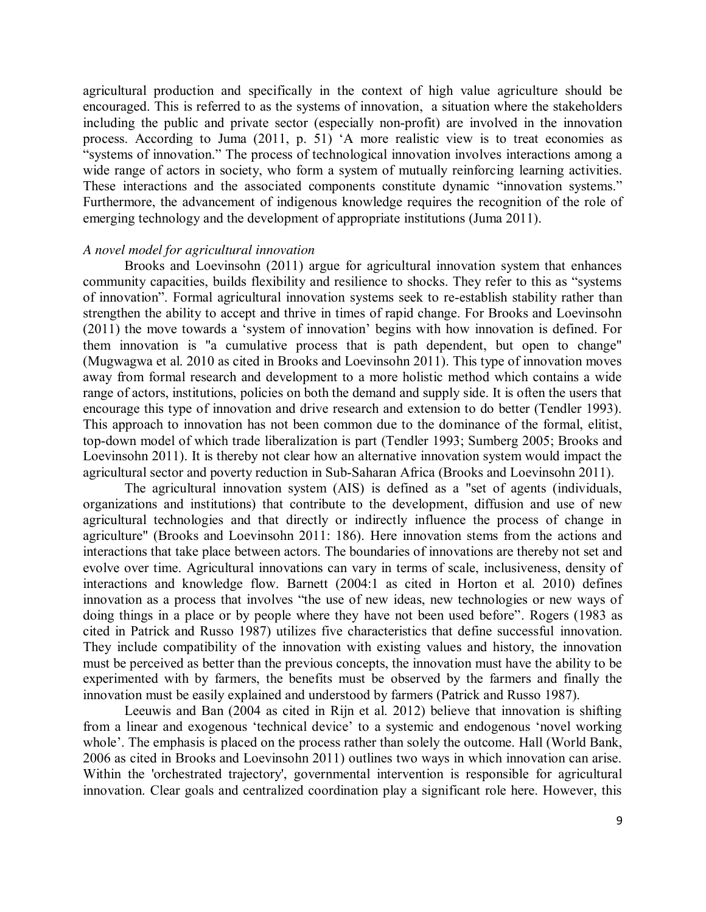agricultural production and specifically in the context of high value agriculture should be encouraged. This is referred to as the systems of innovation, a situation where the stakeholders including the public and private sector (especially non-profit) are involved in the innovation process. According to Juma (2011, p. 51) 'A more realistic view is to treat economies as "systems of innovation." The process of technological innovation involves interactions among a wide range of actors in society, who form a system of mutually reinforcing learning activities. These interactions and the associated components constitute dynamic "innovation systems." Furthermore, the advancement of indigenous knowledge requires the recognition of the role of emerging technology and the development of appropriate institutions (Juma 2011).

## *A novel model for agricultural innovation*

Brooks and Loevinsohn (2011) argue for agricultural innovation system that enhances community capacities, builds flexibility and resilience to shocks. They refer to this as "systems of innovation". Formal agricultural innovation systems seek to re-establish stability rather than strengthen the ability to accept and thrive in times of rapid change. For Brooks and Loevinsohn (2011) the move towards a 'system of innovation' begins with how innovation is defined. For them innovation is "a cumulative process that is path dependent, but open to change" (Mugwagwa et al. 2010 as cited in Brooks and Loevinsohn 2011). This type of innovation moves away from formal research and development to a more holistic method which contains a wide range of actors, institutions, policies on both the demand and supply side. It is often the users that encourage this type of innovation and drive research and extension to do better (Tendler 1993). This approach to innovation has not been common due to the dominance of the formal, elitist, top-down model of which trade liberalization is part (Tendler 1993; Sumberg 2005; Brooks and Loevinsohn 2011). It is thereby not clear how an alternative innovation system would impact the agricultural sector and poverty reduction in Sub-Saharan Africa (Brooks and Loevinsohn 2011).

The agricultural innovation system (AIS) is defined as a "set of agents (individuals, organizations and institutions) that contribute to the development, diffusion and use of new agricultural technologies and that directly or indirectly influence the process of change in agriculture" (Brooks and Loevinsohn 2011: 186). Here innovation stems from the actions and interactions that take place between actors. The boundaries of innovations are thereby not set and evolve over time. Agricultural innovations can vary in terms of scale, inclusiveness, density of interactions and knowledge flow. Barnett (2004:1 as cited in Horton et al. 2010) defines innovation as a process that involves "the use of new ideas, new technologies or new ways of doing things in a place or by people where they have not been used before". Rogers (1983 as cited in Patrick and Russo 1987) utilizes five characteristics that define successful innovation. They include compatibility of the innovation with existing values and history, the innovation must be perceived as better than the previous concepts, the innovation must have the ability to be experimented with by farmers, the benefits must be observed by the farmers and finally the innovation must be easily explained and understood by farmers (Patrick and Russo 1987).

Leeuwis and Ban (2004 as cited in Rijn et al. 2012) believe that innovation is shifting from a linear and exogenous 'technical device' to a systemic and endogenous 'novel working whole'. The emphasis is placed on the process rather than solely the outcome. Hall (World Bank, 2006 as cited in Brooks and Loevinsohn 2011) outlines two ways in which innovation can arise. Within the 'orchestrated trajectory', governmental intervention is responsible for agricultural innovation. Clear goals and centralized coordination play a significant role here. However, this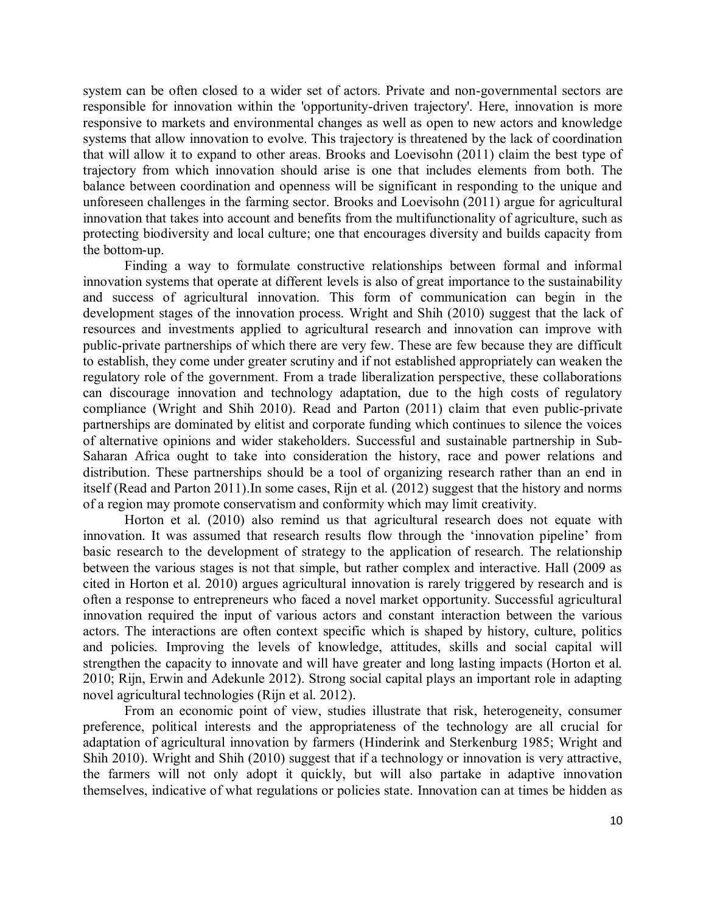system can be often closed to a wider set of actors. Private and non-governmental sectors are responsible for innovation within the 'opportunity-driven trajectory'. Here, innovation is more responsive to markets and environmental changes as well as open to new actors and knowledge systems that allow innovation to evolve. This trajectory is threatened by the lack of coordination that will allow it to expand to other areas. Brooks and Loevisohn (2011) claim the best type of trajectory from which innovation should arise is one that includes elements from both. The balance between coordination and openness will be significant in responding to the unique and unforeseen challenges in the farming sector. Brooks and Loevisohn (2011) argue for agricultural innovation that takes into account and benefits from the multifunctionality of agriculture, such as protecting biodiversity and local culture; one that encourages diversity and builds capacity from the bottom-up.

Finding a way to formulate constructive relationships between formal and informal innovation systems that operate at different levels is also of great importance to the sustainability and success of agricultural innovation. This form of communication can begin in the development stages of the innovation process. Wright and Shih (2010) suggest that the lack of resources and investments applied to agricultural research and innovation can improve with public-private partnerships of which there are very few. These are few because they are difficult to establish, they come under greater scrutiny and if not established appropriately can weaken the regulatory role of the government. From a trade liberalization perspective, these collaborations can discourage innovation and technology adaptation, due to the high costs of regulatory compliance (Wright and Shih 2010). Read and Parton (2011) claim that even public-private partnerships are dominated by elitist and corporate funding which continues to silence the voices of alternative opinions and wider stakeholders. Successful and sustainable partnership in Sub-Saharan Africa ought to take into consideration the history, race and power relations and distribution. These partnerships should be a tool of organizing research rather than an end in itself (Read and Parton 2011).In some cases, Rijn et al. (2012) suggest that the history and norms of a region may promote conservatism and conformity which may limit creativity.

Horton et al. (2010) also remind us that agricultural research does not equate with innovation. It was assumed that research results flow through the 'innovation pipeline' from basic research to the development of strategy to the application of research. The relationship between the various stages is not that simple, but rather complex and interactive. Hall (2009 as cited in Horton et al. 2010) argues agricultural innovation is rarely triggered by research and is often a response to entrepreneurs who faced a novel market opportunity. Successful agricultural innovation required the input of various actors and constant interaction between the various actors. The interactions are often context specific which is shaped by history, culture, politics and policies. Improving the levels of knowledge, attitudes, skills and social capital will strengthen the capacity to innovate and will have greater and long lasting impacts (Horton et al. 2010; Rijn, Erwin and Adekunle 2012). Strong social capital plays an important role in adapting novel agricultural technologies (Rijn et al. 2012).

From an economic point of view, studies illustrate that risk, heterogeneity, consumer preference, political interests and the appropriateness of the technology are all crucial for adaptation of agricultural innovation by farmers (Hinderink and Sterkenburg 1985; Wright and Shih 2010). Wright and Shih (2010) suggest that if a technology or innovation is very attractive, the farmers will not only adopt it quickly, but will also partake in adaptive innovation themselves, indicative of what regulations or policies state. Innovation can at times be hidden as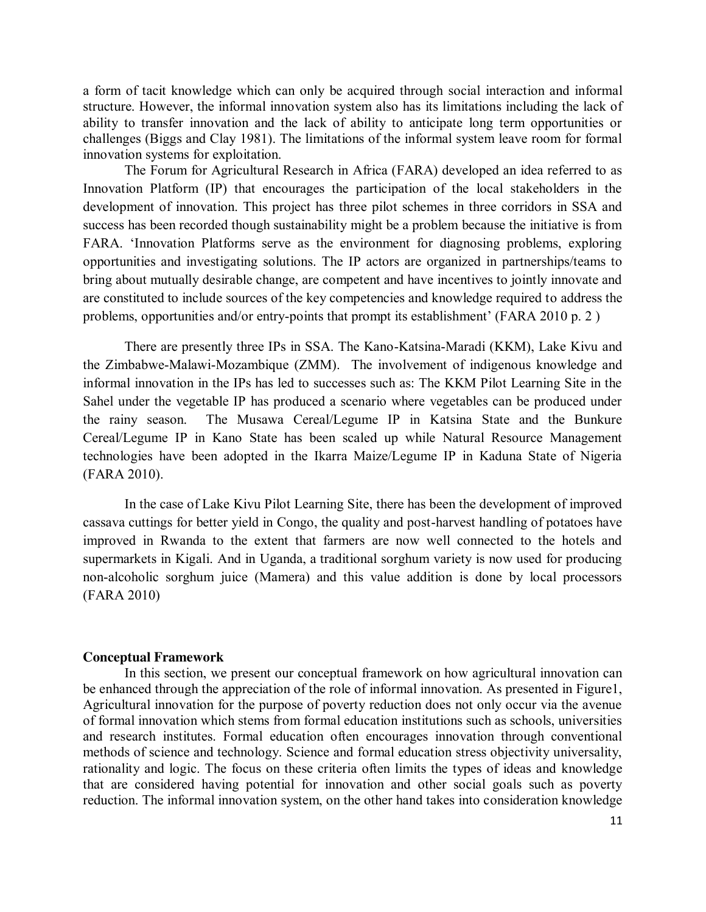a form of tacit knowledge which can only be acquired through social interaction and informal structure. However, the informal innovation system also has its limitations including the lack of ability to transfer innovation and the lack of ability to anticipate long term opportunities or challenges (Biggs and Clay 1981). The limitations of the informal system leave room for formal innovation systems for exploitation.

The Forum for Agricultural Research in Africa (FARA) developed an idea referred to as Innovation Platform (IP) that encourages the participation of the local stakeholders in the development of innovation. This project has three pilot schemes in three corridors in SSA and success has been recorded though sustainability might be a problem because the initiative is from FARA. 'Innovation Platforms serve as the environment for diagnosing problems, exploring opportunities and investigating solutions. The IP actors are organized in partnerships/teams to bring about mutually desirable change, are competent and have incentives to jointly innovate and are constituted to include sources of the key competencies and knowledge required to address the problems, opportunities and/or entry-points that prompt its establishment' (FARA 2010 p. 2 )

There are presently three IPs in SSA. The Kano-Katsina-Maradi (KKM), Lake Kivu and the Zimbabwe-Malawi-Mozambique (ZMM). The involvement of indigenous knowledge and informal innovation in the IPs has led to successes such as: The KKM Pilot Learning Site in the Sahel under the vegetable IP has produced a scenario where vegetables can be produced under the rainy season. The Musawa Cereal/Legume IP in Katsina State and the Bunkure Cereal/Legume IP in Kano State has been scaled up while Natural Resource Management technologies have been adopted in the Ikarra Maize/Legume IP in Kaduna State of Nigeria (FARA 2010).

In the case of Lake Kivu Pilot Learning Site, there has been the development of improved cassava cuttings for better yield in Congo, the quality and post-harvest handling of potatoes have improved in Rwanda to the extent that farmers are now well connected to the hotels and supermarkets in Kigali. And in Uganda, a traditional sorghum variety is now used for producing non-alcoholic sorghum juice (Mamera) and this value addition is done by local processors (FARA 2010)

#### **Conceptual Framework**

In this section, we present our conceptual framework on how agricultural innovation can be enhanced through the appreciation of the role of informal innovation. As presented in Figure1, Agricultural innovation for the purpose of poverty reduction does not only occur via the avenue of formal innovation which stems from formal education institutions such as schools, universities and research institutes. Formal education often encourages innovation through conventional methods of science and technology. Science and formal education stress objectivity universality, rationality and logic. The focus on these criteria often limits the types of ideas and knowledge that are considered having potential for innovation and other social goals such as poverty reduction. The informal innovation system, on the other hand takes into consideration knowledge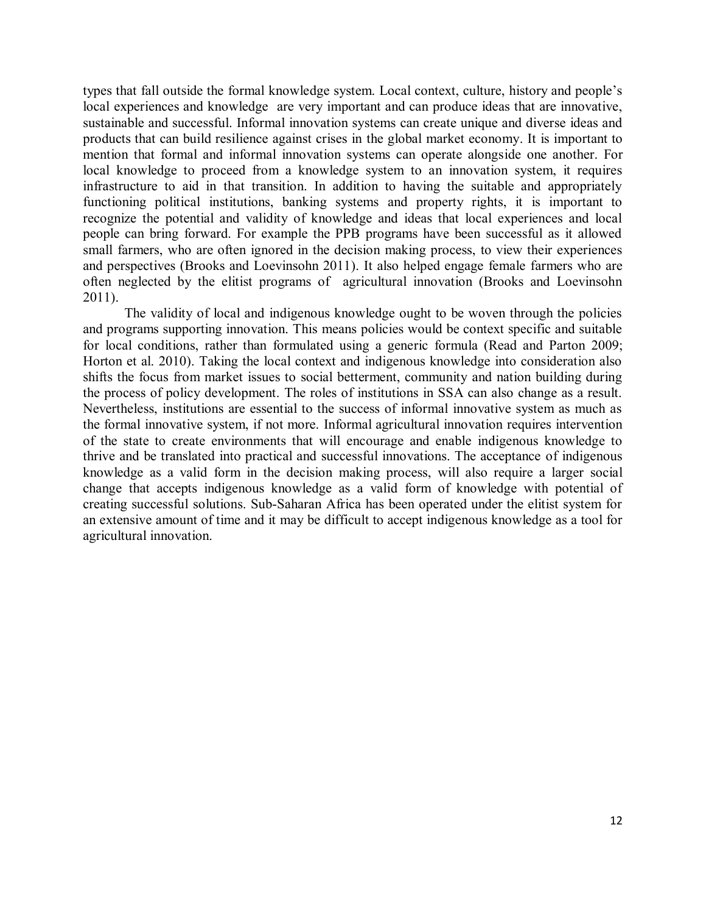types that fall outside the formal knowledge system. Local context, culture, history and people's local experiences and knowledge are very important and can produce ideas that are innovative, sustainable and successful. Informal innovation systems can create unique and diverse ideas and products that can build resilience against crises in the global market economy. It is important to mention that formal and informal innovation systems can operate alongside one another. For local knowledge to proceed from a knowledge system to an innovation system, it requires infrastructure to aid in that transition. In addition to having the suitable and appropriately functioning political institutions, banking systems and property rights, it is important to recognize the potential and validity of knowledge and ideas that local experiences and local people can bring forward. For example the PPB programs have been successful as it allowed small farmers, who are often ignored in the decision making process, to view their experiences and perspectives (Brooks and Loevinsohn 2011). It also helped engage female farmers who are often neglected by the elitist programs of agricultural innovation (Brooks and Loevinsohn 2011).

The validity of local and indigenous knowledge ought to be woven through the policies and programs supporting innovation. This means policies would be context specific and suitable for local conditions, rather than formulated using a generic formula (Read and Parton 2009; Horton et al. 2010). Taking the local context and indigenous knowledge into consideration also shifts the focus from market issues to social betterment, community and nation building during the process of policy development. The roles of institutions in SSA can also change as a result. Nevertheless, institutions are essential to the success of informal innovative system as much as the formal innovative system, if not more. Informal agricultural innovation requires intervention of the state to create environments that will encourage and enable indigenous knowledge to thrive and be translated into practical and successful innovations. The acceptance of indigenous knowledge as a valid form in the decision making process, will also require a larger social change that accepts indigenous knowledge as a valid form of knowledge with potential of creating successful solutions. Sub-Saharan Africa has been operated under the elitist system for an extensive amount of time and it may be difficult to accept indigenous knowledge as a tool for agricultural innovation.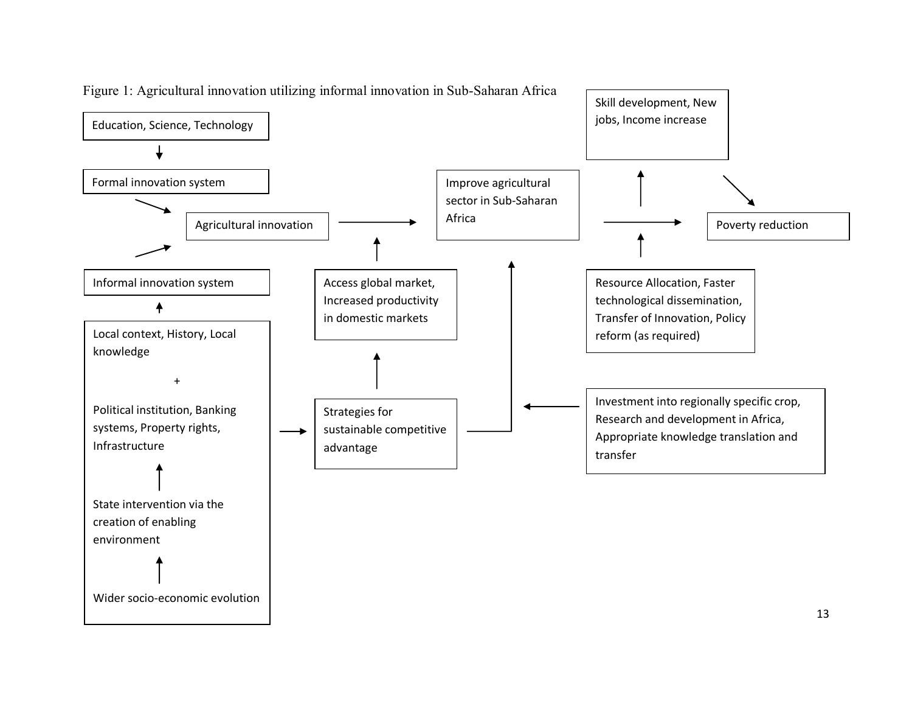

Figure 1: Agricultural innovation utilizing informal innovation in Sub-Saharan Africa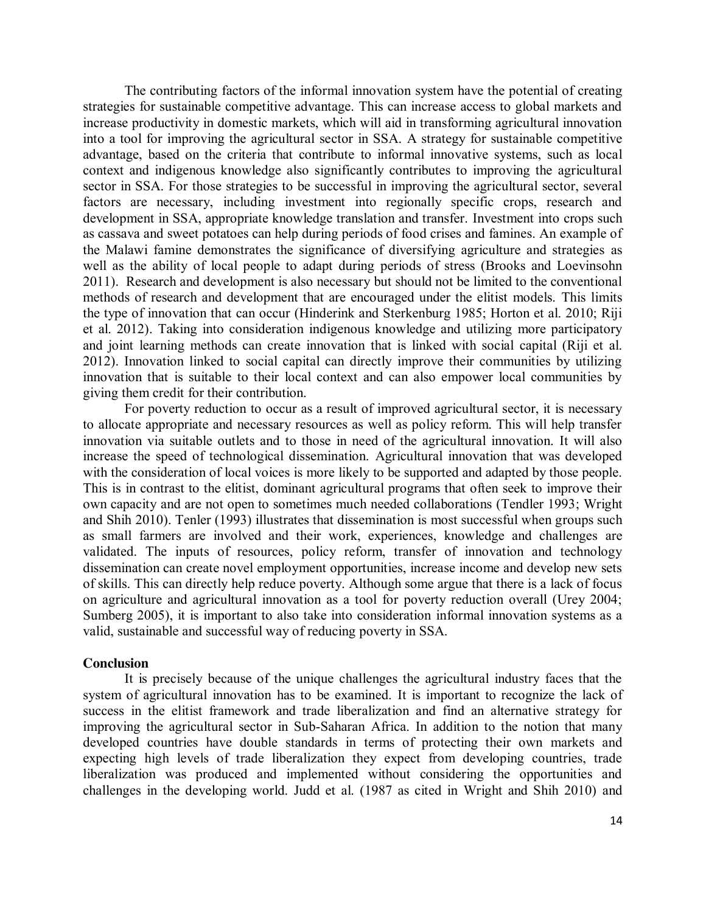The contributing factors of the informal innovation system have the potential of creating strategies for sustainable competitive advantage. This can increase access to global markets and increase productivity in domestic markets, which will aid in transforming agricultural innovation into a tool for improving the agricultural sector in SSA. A strategy for sustainable competitive advantage, based on the criteria that contribute to informal innovative systems, such as local context and indigenous knowledge also significantly contributes to improving the agricultural sector in SSA. For those strategies to be successful in improving the agricultural sector, several factors are necessary, including investment into regionally specific crops, research and development in SSA, appropriate knowledge translation and transfer. Investment into crops such as cassava and sweet potatoes can help during periods of food crises and famines. An example of the Malawi famine demonstrates the significance of diversifying agriculture and strategies as well as the ability of local people to adapt during periods of stress (Brooks and Loevinsohn 2011). Research and development is also necessary but should not be limited to the conventional methods of research and development that are encouraged under the elitist models. This limits the type of innovation that can occur (Hinderink and Sterkenburg 1985; Horton et al. 2010; Riji et al. 2012). Taking into consideration indigenous knowledge and utilizing more participatory and joint learning methods can create innovation that is linked with social capital (Riji et al. 2012). Innovation linked to social capital can directly improve their communities by utilizing innovation that is suitable to their local context and can also empower local communities by giving them credit for their contribution.

For poverty reduction to occur as a result of improved agricultural sector, it is necessary to allocate appropriate and necessary resources as well as policy reform. This will help transfer innovation via suitable outlets and to those in need of the agricultural innovation. It will also increase the speed of technological dissemination. Agricultural innovation that was developed with the consideration of local voices is more likely to be supported and adapted by those people. This is in contrast to the elitist, dominant agricultural programs that often seek to improve their own capacity and are not open to sometimes much needed collaborations (Tendler 1993; Wright and Shih 2010). Tenler (1993) illustrates that dissemination is most successful when groups such as small farmers are involved and their work, experiences, knowledge and challenges are validated. The inputs of resources, policy reform, transfer of innovation and technology dissemination can create novel employment opportunities, increase income and develop new sets of skills. This can directly help reduce poverty. Although some argue that there is a lack of focus on agriculture and agricultural innovation as a tool for poverty reduction overall (Urey 2004; Sumberg 2005), it is important to also take into consideration informal innovation systems as a valid, sustainable and successful way of reducing poverty in SSA.

#### **Conclusion**

It is precisely because of the unique challenges the agricultural industry faces that the system of agricultural innovation has to be examined. It is important to recognize the lack of success in the elitist framework and trade liberalization and find an alternative strategy for improving the agricultural sector in Sub-Saharan Africa. In addition to the notion that many developed countries have double standards in terms of protecting their own markets and expecting high levels of trade liberalization they expect from developing countries, trade liberalization was produced and implemented without considering the opportunities and challenges in the developing world. Judd et al. (1987 as cited in Wright and Shih 2010) and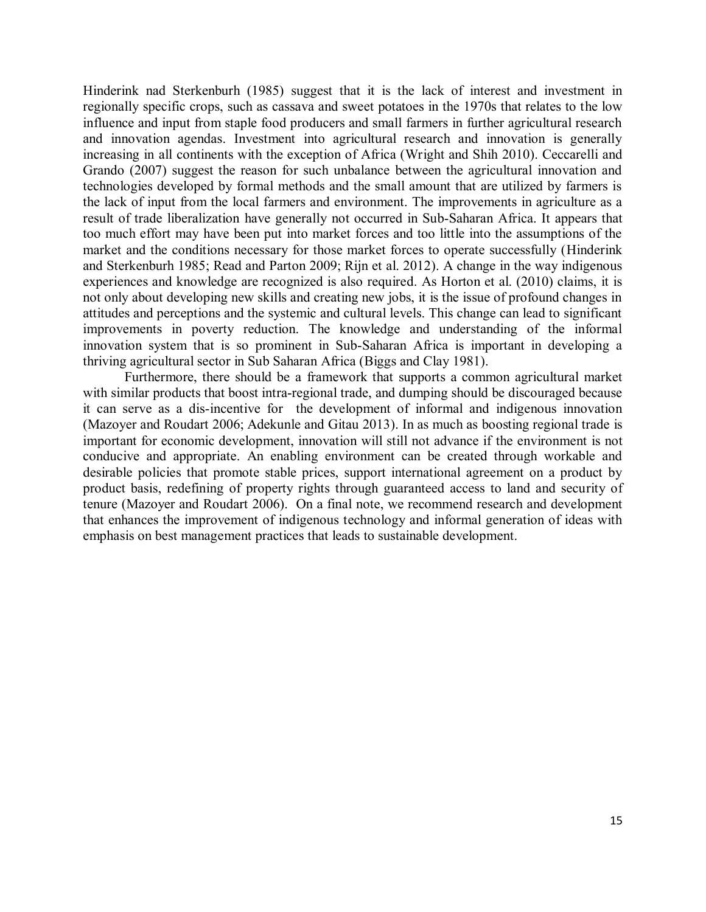Hinderink nad Sterkenburh (1985) suggest that it is the lack of interest and investment in regionally specific crops, such as cassava and sweet potatoes in the 1970s that relates to the low influence and input from staple food producers and small farmers in further agricultural research and innovation agendas. Investment into agricultural research and innovation is generally increasing in all continents with the exception of Africa (Wright and Shih 2010). Ceccarelli and Grando (2007) suggest the reason for such unbalance between the agricultural innovation and technologies developed by formal methods and the small amount that are utilized by farmers is the lack of input from the local farmers and environment. The improvements in agriculture as a result of trade liberalization have generally not occurred in Sub-Saharan Africa. It appears that too much effort may have been put into market forces and too little into the assumptions of the market and the conditions necessary for those market forces to operate successfully (Hinderink and Sterkenburh 1985; Read and Parton 2009; Rijn et al. 2012). A change in the way indigenous experiences and knowledge are recognized is also required. As Horton et al. (2010) claims, it is not only about developing new skills and creating new jobs, it is the issue of profound changes in attitudes and perceptions and the systemic and cultural levels. This change can lead to significant improvements in poverty reduction. The knowledge and understanding of the informal innovation system that is so prominent in Sub-Saharan Africa is important in developing a thriving agricultural sector in Sub Saharan Africa (Biggs and Clay 1981).

Furthermore, there should be a framework that supports a common agricultural market with similar products that boost intra-regional trade, and dumping should be discouraged because it can serve as a dis-incentive for the development of informal and indigenous innovation (Mazoyer and Roudart 2006; Adekunle and Gitau 2013). In as much as boosting regional trade is important for economic development, innovation will still not advance if the environment is not conducive and appropriate. An enabling environment can be created through workable and desirable policies that promote stable prices, support international agreement on a product by product basis, redefining of property rights through guaranteed access to land and security of tenure (Mazoyer and Roudart 2006). On a final note, we recommend research and development that enhances the improvement of indigenous technology and informal generation of ideas with emphasis on best management practices that leads to sustainable development.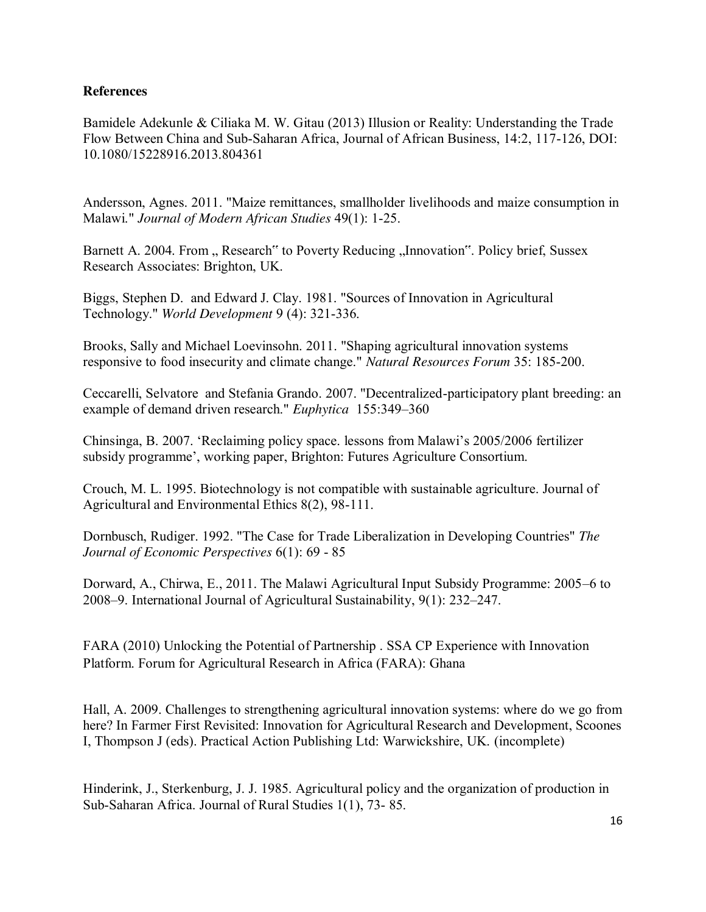## **References**

Bamidele Adekunle & Ciliaka M. W. Gitau (2013) Illusion or Reality: Understanding the Trade Flow Between China and Sub-Saharan Africa, Journal of African Business, 14:2, 117-126, DOI: 10.1080/15228916.2013.804361

Andersson, Agnes. 2011. "Maize remittances, smallholder livelihoods and maize consumption in Malawi." *Journal of Modern African Studies* 49(1): 1-25.

Barnett A. 2004. From "Research" to Poverty Reducing "Innovation". Policy brief, Sussex Research Associates: Brighton, UK.

Biggs, Stephen D. and Edward J. Clay. 1981. "Sources of Innovation in Agricultural Technology." *World Development* 9 (4): 321-336.

Brooks, Sally and Michael Loevinsohn. 2011. "Shaping agricultural innovation systems responsive to food insecurity and climate change." *Natural Resources Forum* 35: 185-200.

Ceccarelli, Selvatore and Stefania Grando. 2007. "Decentralized-participatory plant breeding: an example of demand driven research." *Euphytica* 155:349–360

Chinsinga, B. 2007. 'Reclaiming policy space. lessons from Malawi's 2005/2006 fertilizer subsidy programme', working paper, Brighton: Futures Agriculture Consortium.

Crouch, M. L. 1995. Biotechnology is not compatible with sustainable agriculture. Journal of Agricultural and Environmental Ethics 8(2), 98-111.

Dornbusch, Rudiger. 1992. "The Case for Trade Liberalization in Developing Countries" *The Journal of Economic Perspectives* 6(1): 69 - 85

Dorward, A., Chirwa, E., 2011. The Malawi Agricultural Input Subsidy Programme: 2005–6 to 2008–9. International Journal of Agricultural Sustainability, 9(1): 232–247.

FARA (2010) Unlocking the Potential of Partnership . SSA CP Experience with Innovation Platform. Forum for Agricultural Research in Africa (FARA): Ghana

Hall, A. 2009. Challenges to strengthening agricultural innovation systems: where do we go from here? In Farmer First Revisited: Innovation for Agricultural Research and Development, Scoones I, Thompson J (eds). Practical Action Publishing Ltd: Warwickshire, UK. (incomplete)

Hinderink, J., Sterkenburg, J. J. 1985. Agricultural policy and the organization of production in Sub-Saharan Africa. Journal of Rural Studies 1(1), 73- 85.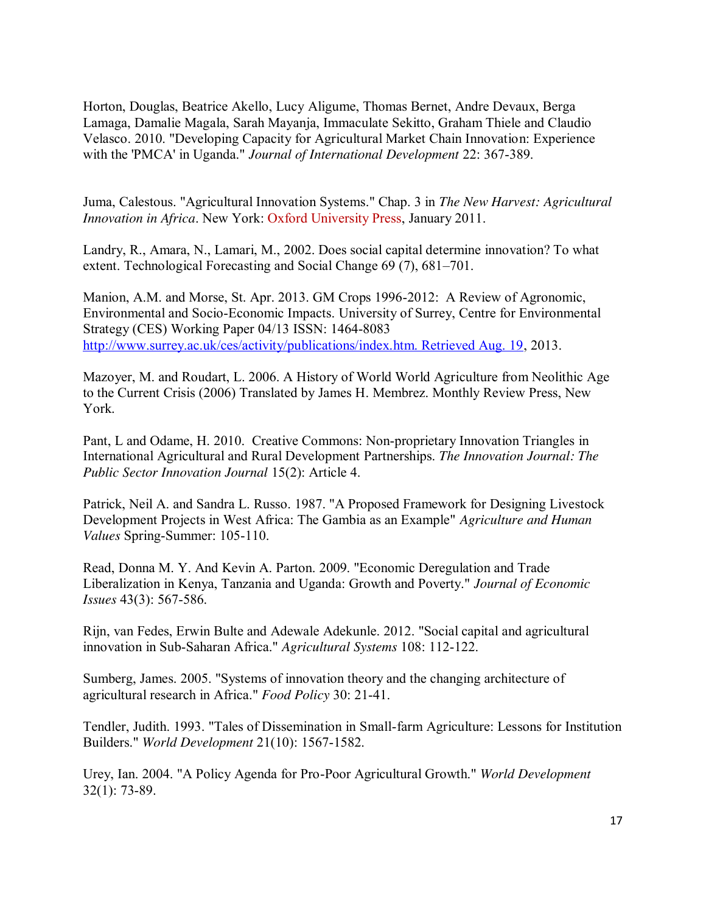Horton, Douglas, Beatrice Akello, Lucy Aligume, Thomas Bernet, Andre Devaux, Berga Lamaga, Damalie Magala, Sarah Mayanja, Immaculate Sekitto, Graham Thiele and Claudio Velasco. 2010. "Developing Capacity for Agricultural Market Chain Innovation: Experience with the 'PMCA' in Uganda." *Journal of International Development* 22: 367-389.

Juma, Calestous. "Agricultural Innovation Systems." Chap. 3 in *The New Harvest: Agricultural Innovation in Africa*. New York: [Oxford University Press,](http://www.oup.com/us/?view=usa) January 2011.

Landry, R., Amara, N., Lamari, M., 2002. Does social capital determine innovation? To what extent. Technological Forecasting and Social Change 69 (7), 681–701.

Manion, A.M. and Morse, St. Apr. 2013. GM Crops 1996-2012: A Review of Agronomic, Environmental and Socio-Economic Impacts. University of Surrey, Centre for Environmental Strategy (CES) Working Paper 04/13 ISSN: 1464-8083 [http://www.surrey.ac.uk/ces/activity/publications/index.htm. Retrieved Aug. 19,](http://www.surrey.ac.uk/ces/activity/publications/index.htm.%20Retrieved%20Aug.%2019) 2013.

Mazoyer, M. and Roudart, L. 2006. A History of World World Agriculture from Neolithic Age to the Current Crisis (2006) Translated by James H. Membrez. Monthly Review Press, New York.

Pant, L and Odame, H. 2010. Creative Commons: Non-proprietary Innovation Triangles in International Agricultural and Rural Development Partnerships. *The Innovation Journal: The Public Sector Innovation Journal* 15(2): Article 4.

Patrick, Neil A. and Sandra L. Russo. 1987. "A Proposed Framework for Designing Livestock Development Projects in West Africa: The Gambia as an Example" *Agriculture and Human Values* Spring-Summer: 105-110.

Read, Donna M. Y. And Kevin A. Parton. 2009. "Economic Deregulation and Trade Liberalization in Kenya, Tanzania and Uganda: Growth and Poverty." *Journal of Economic Issues* 43(3): 567-586.

Rijn, van Fedes, Erwin Bulte and Adewale Adekunle. 2012. "Social capital and agricultural innovation in Sub-Saharan Africa." *Agricultural Systems* 108: 112-122.

Sumberg, James. 2005. "Systems of innovation theory and the changing architecture of agricultural research in Africa." *Food Policy* 30: 21-41.

Tendler, Judith. 1993. "Tales of Dissemination in Small-farm Agriculture: Lessons for Institution Builders." *World Development* 21(10): 1567-1582.

Urey, Ian. 2004. "A Policy Agenda for Pro-Poor Agricultural Growth." *World Development* 32(1): 73-89.